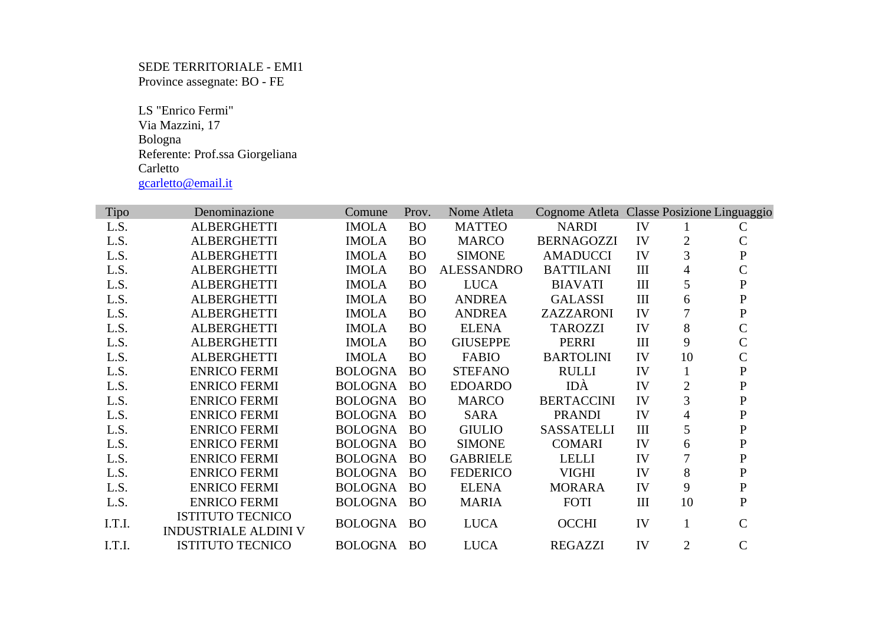SEDE TERRITORIALE - EMI1 Province assegnate: BO - FE

 LS "Enrico Fermi" Via Mazzini, 17 Bologna Referente: Prof.ssa Giorgeliana Carletto gcarletto@email.it

| Tipo   | Denominazione                                          | Comune         | Prov.     | Nome Atleta       | Cognome Atleta Classe Posizione Linguaggio |           |                |               |
|--------|--------------------------------------------------------|----------------|-----------|-------------------|--------------------------------------------|-----------|----------------|---------------|
| L.S.   | <b>ALBERGHETTI</b>                                     | <b>IMOLA</b>   | <b>BO</b> | <b>MATTEO</b>     | <b>NARDI</b>                               | IV        |                | $\mathcal{C}$ |
| L.S.   | <b>ALBERGHETTI</b>                                     | <b>IMOLA</b>   | <b>BO</b> | <b>MARCO</b>      | <b>BERNAGOZZI</b>                          | IV        | 2              | $\mathbf C$   |
| L.S.   | <b>ALBERGHETTI</b>                                     | <b>IMOLA</b>   | <b>BO</b> | <b>SIMONE</b>     | <b>AMADUCCI</b>                            | IV        | 3              | ${\bf P}$     |
| L.S.   | <b>ALBERGHETTI</b>                                     | <b>IMOLA</b>   | <b>BO</b> | <b>ALESSANDRO</b> | <b>BATTILANI</b>                           | $\rm III$ | $\overline{4}$ | $\mathsf{C}$  |
| L.S.   | <b>ALBERGHETTI</b>                                     | <b>IMOLA</b>   | <b>BO</b> | <b>LUCA</b>       | <b>BIAVATI</b>                             | $\rm III$ | 5              | ${\bf P}$     |
| L.S.   | <b>ALBERGHETTI</b>                                     | <b>IMOLA</b>   | <b>BO</b> | <b>ANDREA</b>     | <b>GALASSI</b>                             | III       | 6              | P             |
| L.S.   | <b>ALBERGHETTI</b>                                     | <b>IMOLA</b>   | <b>BO</b> | <b>ANDREA</b>     | ZAZZARONI                                  | IV        |                | ${\bf P}$     |
| L.S.   | <b>ALBERGHETTI</b>                                     | <b>IMOLA</b>   | <b>BO</b> | <b>ELENA</b>      | <b>TAROZZI</b>                             | IV        | 8              | $\mathcal{C}$ |
| L.S.   | <b>ALBERGHETTI</b>                                     | <b>IMOLA</b>   | <b>BO</b> | <b>GIUSEPPE</b>   | <b>PERRI</b>                               | III       | 9              | $\mathbf C$   |
| L.S.   | <b>ALBERGHETTI</b>                                     | <b>IMOLA</b>   | <b>BO</b> | <b>FABIO</b>      | <b>BARTOLINI</b>                           | IV        | 10             | $\mathsf{C}$  |
| L.S.   | <b>ENRICO FERMI</b>                                    | <b>BOLOGNA</b> | <b>BO</b> | <b>STEFANO</b>    | <b>RULLI</b>                               | IV        | 1              | ${\bf P}$     |
| L.S.   | <b>ENRICO FERMI</b>                                    | <b>BOLOGNA</b> | <b>BO</b> | <b>EDOARDO</b>    | IDÀ                                        | IV        | $\overline{2}$ | ${\bf P}$     |
| L.S.   | <b>ENRICO FERMI</b>                                    | <b>BOLOGNA</b> | <b>BO</b> | <b>MARCO</b>      | <b>BERTACCINI</b>                          | IV        | 3              | $\mathbf P$   |
| L.S.   | <b>ENRICO FERMI</b>                                    | <b>BOLOGNA</b> | <b>BO</b> | <b>SARA</b>       | <b>PRANDI</b>                              | IV        | 4              | $\mathbf P$   |
| L.S.   | <b>ENRICO FERMI</b>                                    | <b>BOLOGNA</b> | <b>BO</b> | <b>GIULIO</b>     | <b>SASSATELLI</b>                          | III       | 5              | $\mathbf P$   |
| L.S.   | <b>ENRICO FERMI</b>                                    | <b>BOLOGNA</b> | <b>BO</b> | <b>SIMONE</b>     | <b>COMARI</b>                              | IV        | 6              | $\mathbf P$   |
| L.S.   | <b>ENRICO FERMI</b>                                    | <b>BOLOGNA</b> | <b>BO</b> | <b>GABRIELE</b>   | <b>LELLI</b>                               | IV        | 7              | $\mathbf{P}$  |
| L.S.   | <b>ENRICO FERMI</b>                                    | <b>BOLOGNA</b> | <b>BO</b> | <b>FEDERICO</b>   | <b>VIGHI</b>                               | IV        | 8              | ${\bf P}$     |
| L.S.   | <b>ENRICO FERMI</b>                                    | <b>BOLOGNA</b> | <b>BO</b> | <b>ELENA</b>      | <b>MORARA</b>                              | IV        | 9              | ${\bf P}$     |
| L.S.   | <b>ENRICO FERMI</b>                                    | <b>BOLOGNA</b> | <b>BO</b> | <b>MARIA</b>      | <b>FOTI</b>                                | III       | 10             | $\mathbf P$   |
| I.T.I. | <b>ISTITUTO TECNICO</b><br><b>INDUSTRIALE ALDINI V</b> | <b>BOLOGNA</b> | <b>BO</b> | <b>LUCA</b>       | <b>OCCHI</b>                               | IV        |                | $\mathcal{C}$ |
| I.T.I. | <b>ISTITUTO TECNICO</b>                                | BOLOGNA        | <b>BO</b> | <b>LUCA</b>       | <b>REGAZZI</b>                             | IV        | $\overline{2}$ | $\mathsf{C}$  |